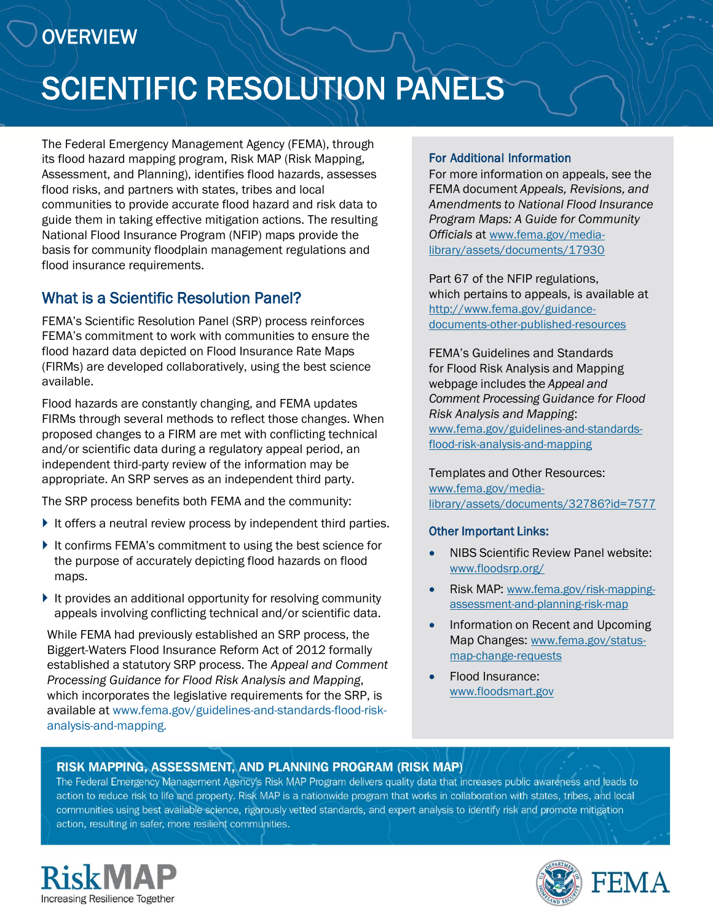# **OVERVIEW**

# SCIENTIFIC RESOLUTION PANELS

The Federal Emergency Management Agency (FEMA), through its flood hazard mapping program, Risk MAP (Risk Mapping, Assessment, and Planning), identifies flood hazards, assesses flood risks, and partners with states, tribes and local communities to provide accurate flood hazard and risk data to guide them in taking effective mitigation actions. The resulting National Flood Insurance Program (NFIP) maps provide the basis for community floodplain management regulations and flood insurance requirements.

#### What is a Scientific Resolution Panel?

FEMA's Scientific Resolution Panel (SRP) process reinforces FEMA's commitment to work with communities to ensure the flood hazard data depicted on Flood Insurance Rate Maps (FIRMs) are developed collaboratively, using the best science available.

Flood hazards are constantly changing, and FEMA updates FIRMs through several methods to reflect those changes. When proposed changes to a FIRM are met with conflicting technical and/or scientific data during a regulatory appeal period, an independent third-party review of the information may be appropriate. An SRP serves as an independent third party.

The SRP process benefits both FEMA and the community:

- It offers a neutral review process by independent third parties.
- It confirms FEMA's commitment to using the best science for the purpose of accurately depicting flood hazards on flood maps.
- $\blacktriangleright$  It provides an additional opportunity for resolving community appeals involving conflicting technical and/or scientific data.

While FEMA had previously established an SRP process, the Biggert-Waters Flood Insurance Reform Act of 2012 formally established a statutory SRP process. The *Appeal and Comment Processing Guidance for Flood Risk Analysis and Mapping*, which incorporates the legislative requirements for the SRP, is [available at www.fema.gov/guidelines-and-standards-flood-risk](http://www.fema.gov/guidelines-and-standards-flood-risk-analysis-and-mapping)analysis-and-mapping.

#### For Additional Information

For more information on appeals, see the FEMA document *Appeals, Revisions, and Amendments to National Flood Insurance Program Maps: A Guide for Community Officials* at www.fema.gov/media[library/assets/documents/17930](http://www.fema.gov/media-library/assets/documents/17930)

Part 67 of the NFIP regulations, which pertains to appeals, is available at http://www.fema.gov/guidance[documents-other-published-resources](http://www.fema.gov/guidance-documents-other-published-resources)

FEMA's Guidelines and Standards for Flood Risk Analysis and Mapping webpage includes the *Appeal and Comment Processing Guidance for Flood Risk Analysis and Mapping*: [www.fema.gov/guidelines-and-standards](http://www.fema.gov/guidelines-and-standards-flood-risk-analysis-and-mapping)flood-risk-analysis-and-mapping

Templates and Other Resources: www.fema.gov/media[library/assets/documents/32786?id=7577](http://www.fema.gov/media-library/assets/documents/32786?id=7577)

#### Other Important Links:

- NIBS Scientific Review Panel website: [www.floodsrp.org/](http://www.floodsrp.org/)
- Risk MAP: www.fema.gov/risk-mapping[assessment-and-planning-risk-map](http://www.fema.gov/risk-mapping-assessment-and-planning-risk-map)
- Information on Recent and Upcoming Map Changes: [www.fema.gov/status](http://www.fema.gov/status-map-change-requests)map-change-requests
- Flood Insurance: [www.floodsmart.gov](https://www.floodsmart.gov/floodsmart/)

#### RISK MAPPING, ASSESSMENT, AND PLANNING PROGRAM (RISK MAP)

 $T$  . The Federal Emergency Management  $T$  and the set of the increases public and leads that increases  $T$ and property. Risk to limit and property is not with a negram denselo quality and matematically public investigation in a local to communities using analysis and property, right interest and expert and expert and expertise mitigation mitigation, and pour communities asing best available science, rigorously ve



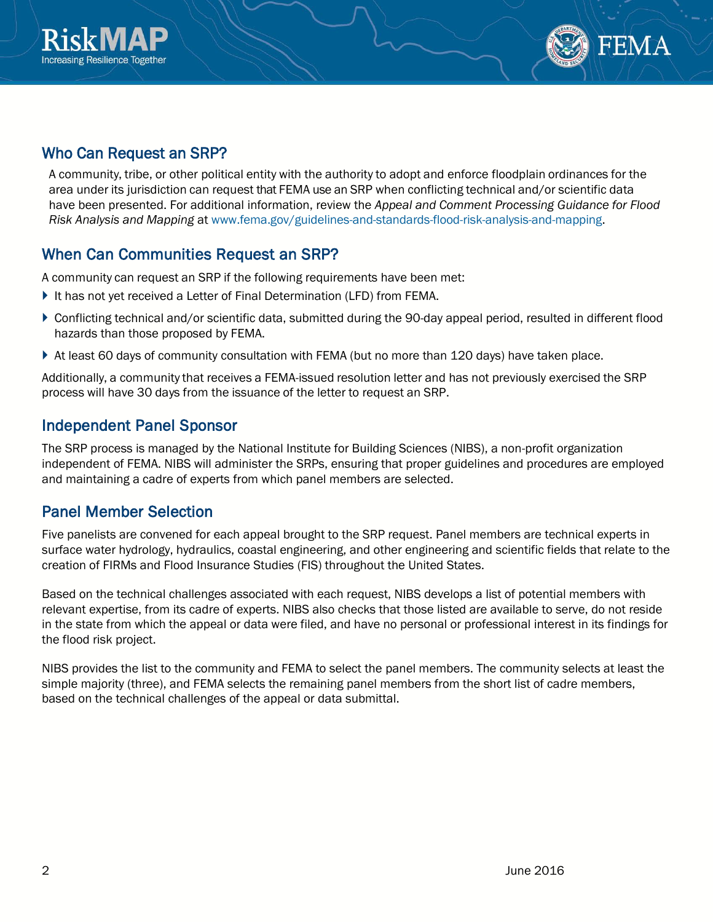



### Who Can Request an SRP?

A community, tribe, or other political entity with the authority to adopt and enforce floodplain ordinances for the area under its jurisdiction can request that FEMA use an SRP when conflicting technical and/or scientific data have been presented. For additional information, review the *Appeal and Comment Processing Guidance for Flood Risk Analysis and Mapping* at [www.fema.gov/guidelines-and-standards-flood-risk-analysis-and-mapping.](http://www.fema.gov/guidelines-and-standards-flood-risk-analysis-and-mapping) 

# When Can Communities Request an SRP?

A community can request an SRP if the following requirements have been met:

- It has not yet received a Letter of Final Determination (LFD) from FEMA.
- Conflicting technical and/or scientific data, submitted during the 90-day appeal period, resulted in different flood hazards than those proposed by FEMA.
- At least 60 days of community consultation with FEMA (but no more than 120 days) have taken place.

Additionally, a community that receives a FEMA-issued resolution letter and has not previously exercised the SRP process will have 30 days from the issuance of the letter to request an SRP.

## Independent Panel Sponsor

The SRP process is managed by the National Institute for Building Sciences (NIBS), a non-profit organization independent of FEMA. NIBS will administer the SRPs, ensuring that proper guidelines and procedures are employed and maintaining a cadre of experts from which panel members are selected.

#### Panel Member Selection

Five panelists are convened for each appeal brought to the SRP request. Panel members are technical experts in surface water hydrology, hydraulics, coastal engineering, and other engineering and scientific fields that relate to the creation of FIRMs and Flood Insurance Studies (FIS) throughout the United States.

Based on the technical challenges associated with each request, NIBS develops a list of potential members with relevant expertise, from its cadre of experts. NIBS also checks that those listed are available to serve, do not reside in the state from which the appeal or data were filed, and have no personal or professional interest in its findings for the flood risk project.

NIBS provides the list to the community and FEMA to select the panel members. The community selects at least the simple majority (three), and FEMA selects the remaining panel members from the short list of cadre members, based on the technical challenges of the appeal or data submittal.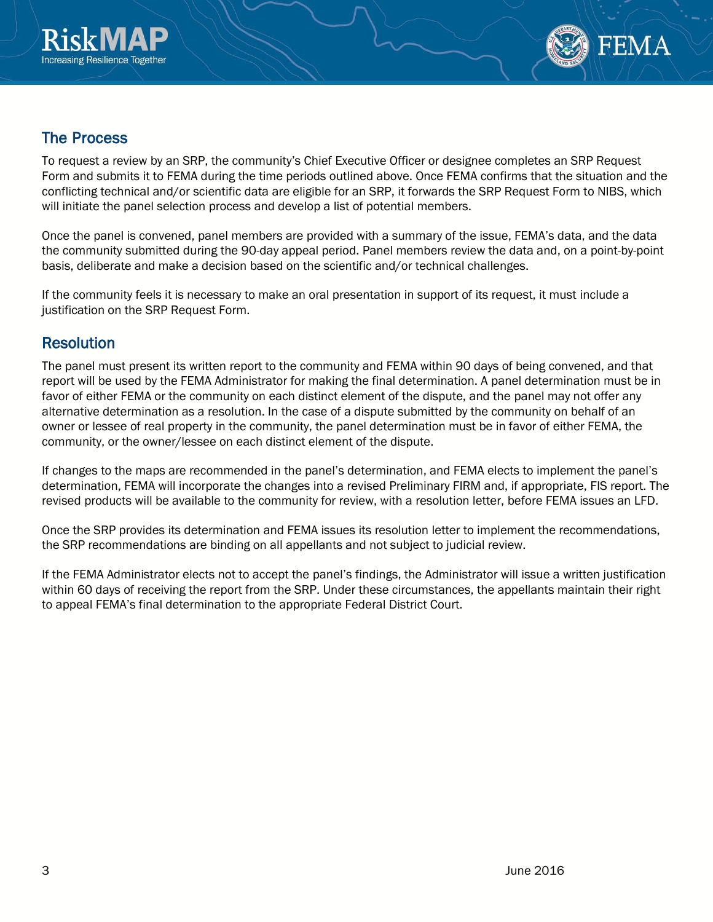



#### The Process

To request a review by an SRP, the community's Chief Executive Officer or designee completes an SRP Request Form and submits it to FEMA during the time periods outlined above. Once FEMA confirms that the situation and the conflicting technical and/or scientific data are eligible for an SRP, it forwards the SRP Request Form to NIBS, which will initiate the panel selection process and develop a list of potential members.

Once the panel is convened, panel members are provided with a summary of the issue, FEMA's data, and the data the community submitted during the 90-day appeal period. Panel members review the data and, on a point-by-point basis, deliberate and make a decision based on the scientific and/or technical challenges.

If the community feels it is necessary to make an oral presentation in support of its request, it must include a justification on the SRP Request Form.

#### **Resolution**

The panel must present its written report to the community and FEMA within 90 days of being convened, and that report will be used by the FEMA Administrator for making the final determination. A panel determination must be in favor of either FEMA or the community on each distinct element of the dispute, and the panel may not offer any alternative determination as a resolution. In the case of a dispute submitted by the community on behalf of an owner or lessee of real property in the community, the panel determination must be in favor of either FEMA, the community, or the owner/lessee on each distinct element of the dispute.

If changes to the maps are recommended in the panel's determination, and FEMA elects to implement the panel's determination, FEMA will incorporate the changes into a revised Preliminary FIRM and, if appropriate, FIS report. The revised products will be available to the community for review, with a resolution letter, before FEMA issues an LFD.

Once the SRP provides its determination and FEMA issues its resolution letter to implement the recommendations, the SRP recommendations are binding on all appellants and not subject to judicial review.

If the FEMA Administrator elects not to accept the panel's findings, the Administrator will issue a written justification within 60 days of receiving the report from the SRP. Under these circumstances, the appellants maintain their right to appeal FEMA's final determination to the appropriate Federal District Court.